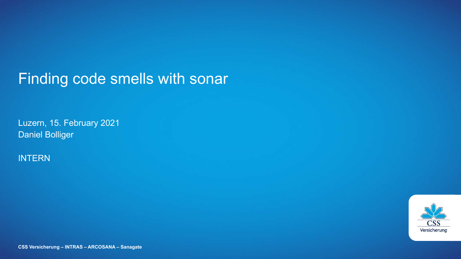## Finding code smells with sonar

Luzern, 15. February 2021 Daniel Bolliger

#### INTERN

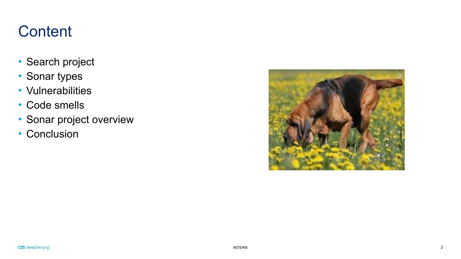# **Content**

- Search project
- Sonar types
- Vulnerabilities
- Code smells
- Sonar project overview
- Conclusion

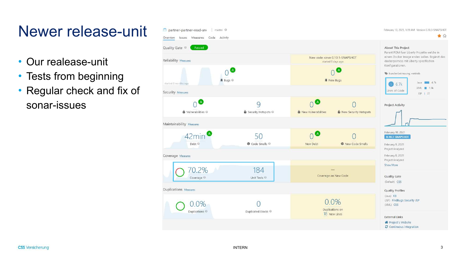# Newer release-unit

- Our realease-unit
- Tests from beginning
- Regular check and fix of sonar-issues

| partner-partner-read-srv<br>master O                  |                                                                  |                                           |                                                       | February 10, 2021, 1:19 AM Version 0.10.3-SNAPSHOT                                                                                                                             |  |
|-------------------------------------------------------|------------------------------------------------------------------|-------------------------------------------|-------------------------------------------------------|--------------------------------------------------------------------------------------------------------------------------------------------------------------------------------|--|
| Issues Measures Code Activity<br>Overview             |                                                                  |                                           |                                                       | 會命                                                                                                                                                                             |  |
| Quality Gate <sup>©</sup><br>Passed                   | About This Project<br>Parent POM fuer Liberty Projekte welche in |                                           |                                                       |                                                                                                                                                                                |  |
| Reliability Measures                                  |                                                                  |                                           | New code: since 0.10.1-SNAPSHOT<br>started 6 days ago | einem Docker Image enden sollen. Ergänzt das<br>dockerpomcss mit Liberty spezifischen<br>Konfigurationen.<br>> kundenbetreuung, vertrieb<br>Java 4.7k<br>6.7k<br>$\mathcal{S}$ |  |
| 赛 Bugs ◎<br>started 8 months ago                      |                                                                  |                                           | (A<br><b>谢 New Bugs</b>                               |                                                                                                                                                                                |  |
| Security Measures                                     |                                                                  |                                           |                                                       | XML <b>■ 1.9k</b><br>Lines of Code<br>$JSP$   $27$                                                                                                                             |  |
| $\mathbf{A}$<br><b>6</b> Vulnerabilities <sup>©</sup> | 9<br>Security Hotspots @                                         | $\n  A\n$<br><b>6</b> New Vulnerabilities | <b>D</b> New Security Hotspots                        | Project Activity                                                                                                                                                               |  |
| Maintainability Measures                              |                                                                  |                                           |                                                       |                                                                                                                                                                                |  |
| 42min <sup><sup>3</sup></sup><br>Debt <sup>O</sup>    | 50<br><b>@</b> Code Smells <sup>@</sup>                          | A.<br>New Debt                            | <sup><sup>®</sup> New Code Smells</sup>               | February 10, 2021<br>0.10.3-SNAPSHOT<br>February 9, 2021<br>Project Analyzed                                                                                                   |  |
| Coverage Measures                                     |                                                                  |                                           |                                                       | February 8, 2021<br>Project Analyzed                                                                                                                                           |  |
| $0.2\%$<br>Coverage <sup>@</sup>                      | 184<br>Unit Tests                                                |                                           | Coverage on New Code                                  | Show More<br>Quality Gate<br>(Default) CSS                                                                                                                                     |  |
| Duplications Measures                                 |                                                                  |                                           |                                                       | <b>Quality Profiles</b>                                                                                                                                                        |  |
| $0.0\%$<br>Duplications <sup>O</sup>                  | Duplicated Blocks                                                |                                           | 0.0%<br>Duplications on<br>18 New Lines               | (Java) KB<br>(JSP) FindBugs Security JSP<br>(XML) CSS                                                                                                                          |  |
|                                                       |                                                                  |                                           |                                                       | <b>External Links</b><br>备 Project's Website<br>C Continuous integration                                                                                                       |  |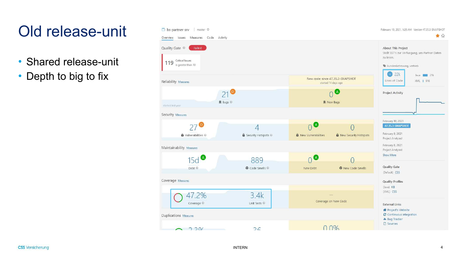# Old release-unit

- Shared release-unit
- Depth to big to fix

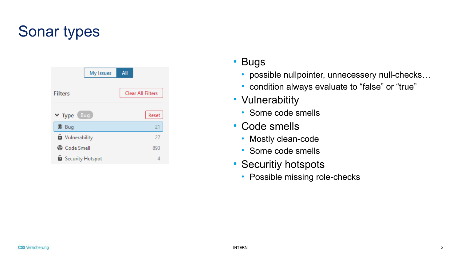# Sonar types

| My Issues              | All                      |
|------------------------|--------------------------|
| <b>Filters</b>         | <b>Clear All Filters</b> |
| Bug<br>$\times$ Type   | Reset                    |
| <b>谱 Bug</b>           | 21                       |
| <b>b</b> Vulnerability | 27                       |
| <b>B</b> Code Smell    | 893                      |
| Security Hotspot       | 4                        |

### • Bugs

- possible nullpointer, unnecessery null-checks…
- condition always evaluate to "false" or "true"
- Vulnerabitity
	- Some code smells
- Code smells
	- Mostly clean-code
	- Some code smells
- Securitiy hotspots
	- Possible missing role-checks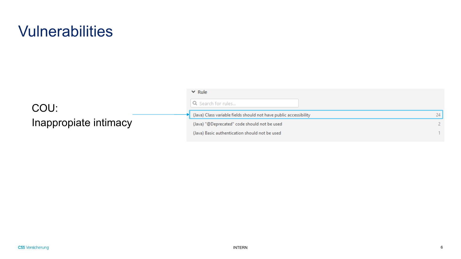## **Vulnerabilities**

### COU: Inappropiate intimacy

| $\times$ Rule                                                     |    |
|-------------------------------------------------------------------|----|
| Q Search for rules                                                |    |
| (Java) Class variable fields should not have public accessibility | 24 |
| (Java) "@Deprecated" code should not be used                      |    |
| (Java) Basic authentication should not be used                    |    |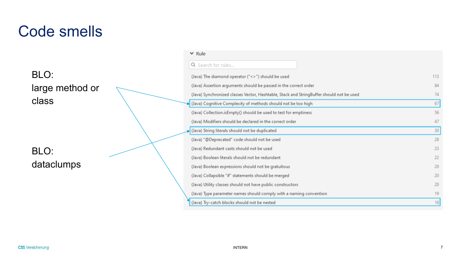## Code smells

### BLO: large method or class

BLO: dataclumps

| Q Search for rules                                                                       |  |
|------------------------------------------------------------------------------------------|--|
| (Java) The diamond operator ("<>") should be used                                        |  |
| (Java) Assertion arguments should be passed in the correct order                         |  |
| (Java) Synchronized classes Vector, Hashtable, Stack and StringBuffer should not be used |  |
| (Java) Cognitive Complexity of methods should not be too high                            |  |
| (Java) Collection.isEmpty() should be used to test for emptiness                         |  |
| (Java) Modifiers should be declared in the correct order                                 |  |
| (Java) String literals should not be duplicated                                          |  |
| (Java) "@Deprecated" code should not be used                                             |  |
| (Java) Redundant casts should not be used                                                |  |
| (Java) Boolean literals should not be redundant                                          |  |
| (Java) Boolean expressions should not be gratuitous                                      |  |
| (Java) Collapsible "if" statements should be merged                                      |  |
| (Java) Utility classes should not have public constructors                               |  |
| (Java) Type parameter names should comply with a naming convention                       |  |
| (Java) Try-catch blocks should not be nested                                             |  |

 $\times$  Rule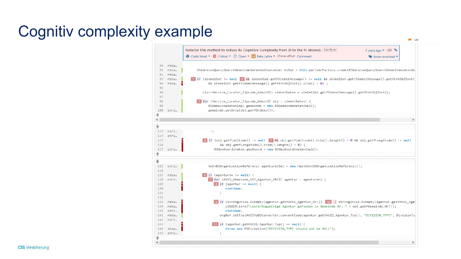# Cognitiv complexity example

Refactor this method to reduce its Cognitive Complexity from 31 to the 15 allowed. See Rule 5 years ago ▼ L89 % **A** Code Smell ▼ **Q** Critical ▼ Q Open ▼ **R** Reto Lehre ▼ 21min effort Comment → brain-overload ▼ 90 rola... 91 reto... BSAdresseQuerySearchGemeindedatenOutContainer bsOut = this.partnerFactory.createBSAdresseQuerySearchGemeindedatenOu 92 rola ... 1 if (siebelOut != null 2 && siebelOut.getfSiebelMessage() != null && siebelOut.getfSiebelMessage().getfintObjInst( 93 reto... 94 rola… && siebelOut.getfSiebelMessage().getfintObjInst().size() > 0) { 95 96 List<Service\_Locator\_Zipcode\_AdminIC> siebelDaten = siebelOut.getfSiebelMessage().getfintObjInst(); 97 98 8 for (Service\_Locator\_Zipcode\_AdminIC obj : siebelDaten) { 99 BSGemeindedatenImpl gemeinde = new BSGemeindedatenImpl(); 100 chri… gemeinde.setOnrp(obj.getfOrdkey()); ⇞ € 113 chri ...  $*$ 114 chri ... 4 if (obj.getfLatitude() != null 5 && obj.getfLatitude().trim().length() > 0 && obj.getfLongitude() != null 115 116 && obj.getfLongitude().trim().length() >  $\theta$ ) { 117 chri… BSGeoKoordinaten geoKoord = new BSGeoKoordinatenImpl(); € ♣  $125$  chri $\ldots$ Set<BSOrganisationReferenz> agenturenSet = new HashSet<BSOrganisationReferenz>(); 126 127 reto...  $6$  if (agenturen !=  $null)$  { 7 for (AVIS\_Gemeinde\_SST\_Agentur\_VBCIC agentur : agenturen) { 128 chri...  $8$  if (agentur ==  $null)$  { 129 130 continue; 131 - 3 132 9 if (StringUtils.isEmpty(agentur.getfAVIS\_Agentur\_Nr()) 10 || StringUtils.isEmpty(agentur.getfAVIS\_Agen 133 reto... 134 reto... LOGGER.info("Leere/Ungueltige Agentur gefunden in Gemeinde Nr. " + obj.getfGemeinde\_Nr()); continue; 135 chri… orgRef.setTyp(AVISToBSConverter.convertCode(agentur.getfAVIS\_Agentur\_Typ(), "DIVISION\_TYPE", DivisionTy 141 reto... 142 chri... ii if (agentur.getfAVIS\_Agentur\_Typ() == null) { 143 144 throw new BSException("DIVISION\_TYPE should not be NULL"); step… 145 chri... ♣  $\leq$ 

 $\blacksquare$  tur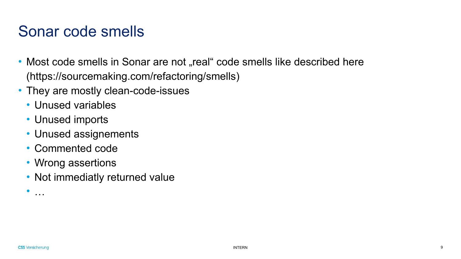## Sonar code smells

- Most code smells in Sonar are not "real" code smells like described here (https://sourcemaking.com/refactoring/smells)
- They are mostly clean-code-issues
	- Unused variables
	- Unused imports
	- Unused assignements
	- Commented code
	- Wrong assertions
	- Not immediatly returned value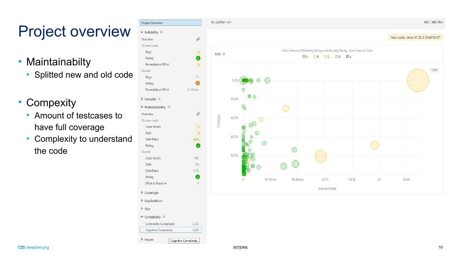# Project overview

- Maintainabilty
	- Splitted new and old code
- Compexity
	- Amount of testcases to have full coverage
	- Complexity to understand the code

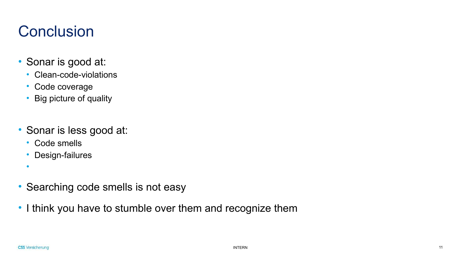# **Conclusion**

- Sonar is good at:
	- Clean-code-violations
	- Code coverage
	- Big picture of quality
- Sonar is less good at:
	- Code smells
	- Design-failures
	- •
- Searching code smells is not easy
- I think you have to stumble over them and recognize them